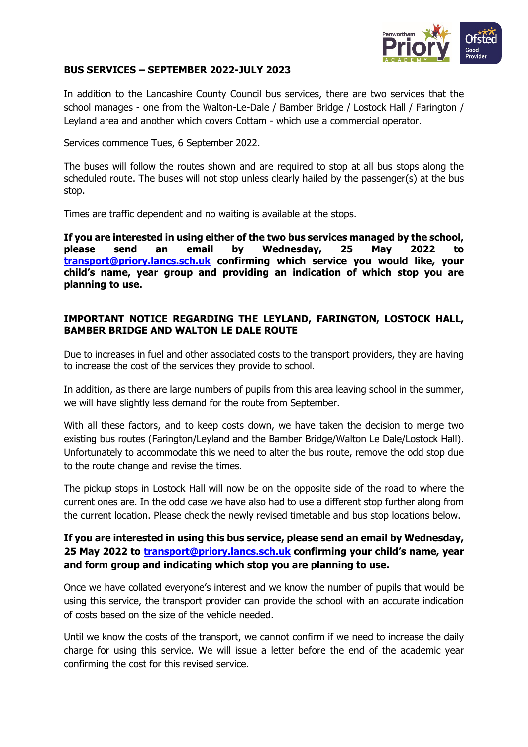

## **BUS SERVICES – SEPTEMBER 2022-JULY 2023**

In addition to the Lancashire County Council bus services, there are two services that the school manages - one from the Walton-Le-Dale / Bamber Bridge / Lostock Hall / Farington / Leyland area and another which covers Cottam - which use a commercial operator.

Services commence Tues, 6 September 2022.

The buses will follow the routes shown and are required to stop at all bus stops along the scheduled route. The buses will not stop unless clearly hailed by the passenger(s) at the bus stop.

Times are traffic dependent and no waiting is available at the stops.

**If you are interested in using either of the two bus services managed by the school, please send an email by Wednesday, 25 May 2022 to [transport@priory.lancs.sch.uk](mailto:transport@priory.lancs.sch.uk) confirming which service you would like, your child's name, year group and providing an indication of which stop you are planning to use.**

#### **IMPORTANT NOTICE REGARDING THE LEYLAND, FARINGTON, LOSTOCK HALL, BAMBER BRIDGE AND WALTON LE DALE ROUTE**

Due to increases in fuel and other associated costs to the transport providers, they are having to increase the cost of the services they provide to school.

In addition, as there are large numbers of pupils from this area leaving school in the summer, we will have slightly less demand for the route from September.

With all these factors, and to keep costs down, we have taken the decision to merge two existing bus routes (Farington/Leyland and the Bamber Bridge/Walton Le Dale/Lostock Hall). Unfortunately to accommodate this we need to alter the bus route, remove the odd stop due to the route change and revise the times.

The pickup stops in Lostock Hall will now be on the opposite side of the road to where the current ones are. In the odd case we have also had to use a different stop further along from the current location. Please check the newly revised timetable and bus stop locations below.

## **If you are interested in using this bus service, please send an email by Wednesday, 25 May 2022 to [transport@priory.lancs.sch.uk](mailto:transport@priory.lancs.sch.uk) confirming your child's name, year and form group and indicating which stop you are planning to use.**

Once we have collated everyone's interest and we know the number of pupils that would be using this service, the transport provider can provide the school with an accurate indication of costs based on the size of the vehicle needed.

Until we know the costs of the transport, we cannot confirm if we need to increase the daily charge for using this service. We will issue a letter before the end of the academic year confirming the cost for this revised service.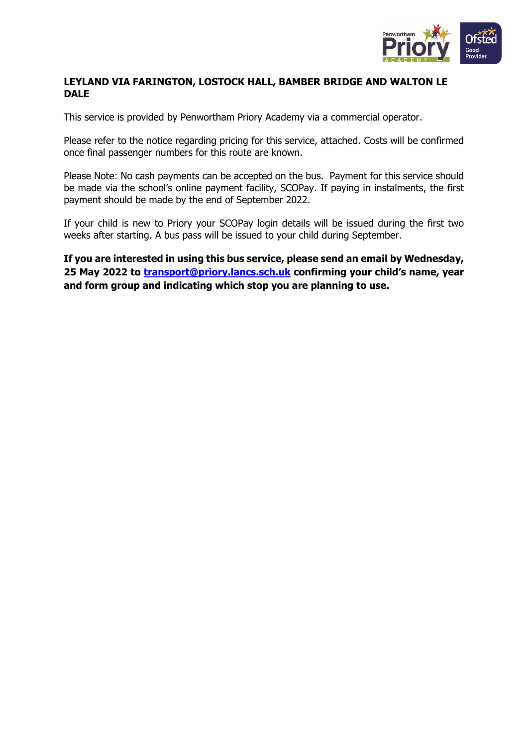

## **LEYLAND VIA FARINGTON, LOSTOCK HALL, BAMBER BRIDGE AND WALTON LE DALE**

This service is provided by Penwortham Priory Academy via a commercial operator.

Please refer to the notice regarding pricing for this service, attached. Costs will be confirmed once final passenger numbers for this route are known.

Please Note: No cash payments can be accepted on the bus. Payment for this service should be made via the school's online payment facility, SCOPay. If paying in instalments, the first payment should be made by the end of September 2022.

If your child is new to Priory your SCOPay login details will be issued during the first two weeks after starting. A bus pass will be issued to your child during September.

**If you are interested in using this bus service, please send an email by Wednesday, 25 May 2022 to [transport@priory.lancs.sch.uk](mailto:transport@priory.lancs.sch.uk) confirming your child's name, year and form group and indicating which stop you are planning to use.**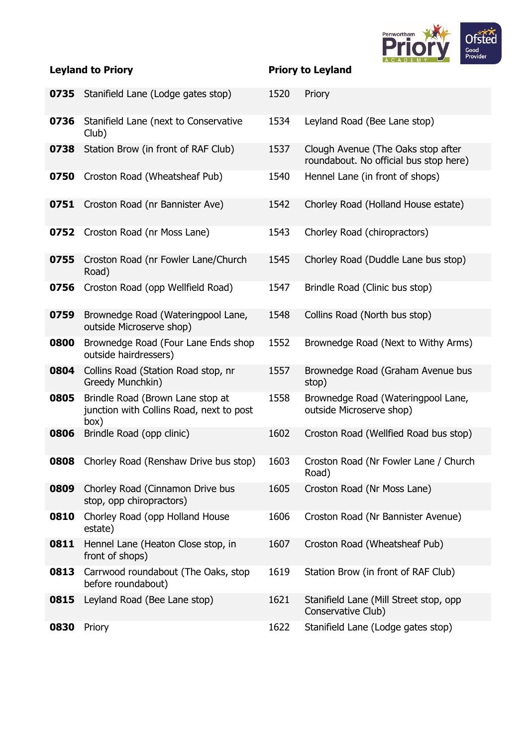

# **Leyland to Priory <b>Priory Priory to Leyland**

| 0735 | Stanifield Lane (Lodge gates stop)                                                   | 1520 | Priory                                                                       |
|------|--------------------------------------------------------------------------------------|------|------------------------------------------------------------------------------|
| 0736 | Stanifield Lane (next to Conservative<br>Club)                                       | 1534 | Leyland Road (Bee Lane stop)                                                 |
| 0738 | Station Brow (in front of RAF Club)                                                  | 1537 | Clough Avenue (The Oaks stop after<br>roundabout. No official bus stop here) |
| 0750 | Croston Road (Wheatsheaf Pub)                                                        | 1540 | Hennel Lane (in front of shops)                                              |
| 0751 | Croston Road (nr Bannister Ave)                                                      | 1542 | Chorley Road (Holland House estate)                                          |
| 0752 | Croston Road (nr Moss Lane)                                                          | 1543 | Chorley Road (chiropractors)                                                 |
| 0755 | Croston Road (nr Fowler Lane/Church<br>Road)                                         | 1545 | Chorley Road (Duddle Lane bus stop)                                          |
| 0756 | Croston Road (opp Wellfield Road)                                                    | 1547 | Brindle Road (Clinic bus stop)                                               |
| 0759 | Brownedge Road (Wateringpool Lane,<br>outside Microserve shop)                       | 1548 | Collins Road (North bus stop)                                                |
| 0800 | Brownedge Road (Four Lane Ends shop<br>outside hairdressers)                         | 1552 | Brownedge Road (Next to Withy Arms)                                          |
| 0804 | Collins Road (Station Road stop, nr<br>Greedy Munchkin)                              | 1557 | Brownedge Road (Graham Avenue bus<br>stop)                                   |
| 0805 | Brindle Road (Brown Lane stop at<br>junction with Collins Road, next to post<br>box) | 1558 | Brownedge Road (Wateringpool Lane,<br>outside Microserve shop)               |
| 0806 | Brindle Road (opp clinic)                                                            | 1602 | Croston Road (Wellfied Road bus stop)                                        |
| 0808 | Chorley Road (Renshaw Drive bus stop)                                                | 1603 | Croston Road (Nr Fowler Lane / Church<br>Road)                               |
| 0809 | Chorley Road (Cinnamon Drive bus<br>stop, opp chiropractors)                         | 1605 | Croston Road (Nr Moss Lane)                                                  |
| 0810 | Chorley Road (opp Holland House<br>estate)                                           | 1606 | Croston Road (Nr Bannister Avenue)                                           |
| 0811 | Hennel Lane (Heaton Close stop, in<br>front of shops)                                | 1607 | Croston Road (Wheatsheaf Pub)                                                |
| 0813 | Carrwood roundabout (The Oaks, stop<br>before roundabout)                            | 1619 | Station Brow (in front of RAF Club)                                          |
| 0815 | Leyland Road (Bee Lane stop)                                                         | 1621 | Stanifield Lane (Mill Street stop, opp<br>Conservative Club)                 |
| 0830 | Priory                                                                               | 1622 | Stanifield Lane (Lodge gates stop)                                           |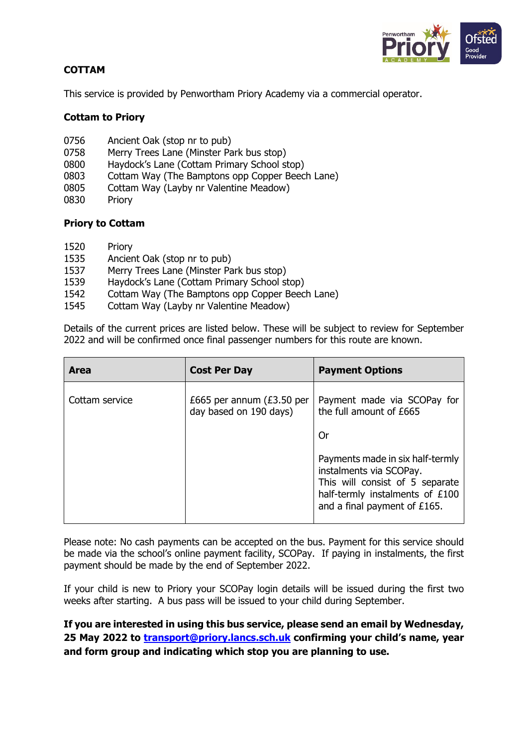

# **COTTAM**

This service is provided by Penwortham Priory Academy via a commercial operator.

## **Cottam to Priory**

- 0756 Ancient Oak (stop nr to pub)<br>0758 Merry Trees Lane (Minster Pa
- Merry Trees Lane (Minster Park bus stop)
- 0800 Haydock's Lane (Cottam Primary School stop)
- 0803 Cottam Way (The Bamptons opp Copper Beech Lane)
- 0805 Cottam Way (Layby nr Valentine Meadow)<br>0830 Priory
- Priory

#### **Priory to Cottam**

- 1520 Priory<br>1535 Ancien
- Ancient Oak (stop nr to pub)
- 1537 Merry Trees Lane (Minster Park bus stop)
- 1539 Haydock's Lane (Cottam Primary School stop)
- 1542 Cottam Way (The Bamptons opp Copper Beech Lane)<br>1545 Cottam Way (Layby nr Valentine Meadow)
- Cottam Way (Layby nr Valentine Meadow)

Details of the current prices are listed below. These will be subject to review for September 2022 and will be confirmed once final passenger numbers for this route are known.

| <b>Area</b>    | <b>Cost Per Day</b>                                   | <b>Payment Options</b>                                                                                                                                            |
|----------------|-------------------------------------------------------|-------------------------------------------------------------------------------------------------------------------------------------------------------------------|
| Cottam service | £665 per annum $(E3.50$ per<br>day based on 190 days) | Payment made via SCOPay for<br>the full amount of £665<br>Or                                                                                                      |
|                |                                                       | Payments made in six half-termly<br>instalments via SCOPay.<br>This will consist of 5 separate<br>half-termly instalments of £100<br>and a final payment of £165. |

Please note: No cash payments can be accepted on the bus. Payment for this service should be made via the school's online payment facility, SCOPay. If paying in instalments, the first payment should be made by the end of September 2022.

If your child is new to Priory your SCOPay login details will be issued during the first two weeks after starting. A bus pass will be issued to your child during September.

**If you are interested in using this bus service, please send an email by Wednesday, 25 May 2022 to [transport@priory.lancs.sch.uk](mailto:transport@priory.lancs.sch.uk) confirming your child's name, year and form group and indicating which stop you are planning to use.**